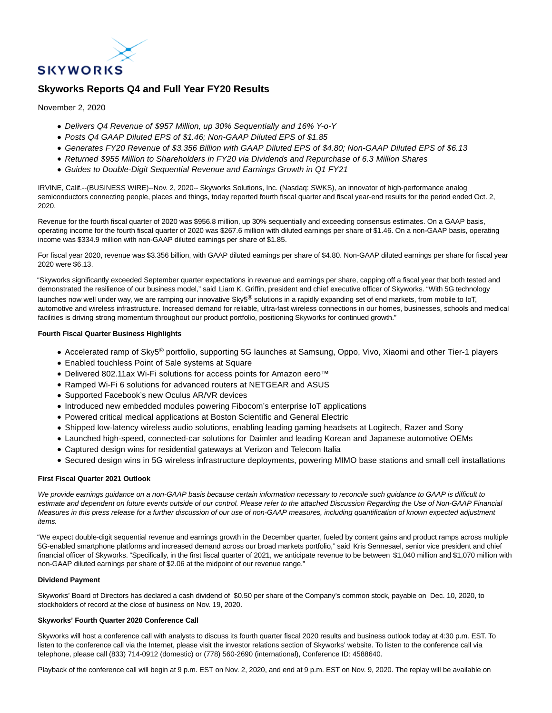

# **Skyworks Reports Q4 and Full Year FY20 Results**

November 2, 2020

- Delivers Q4 Revenue of \$957 Million, up 30% Sequentially and 16% Y-o-Y
- Posts Q4 GAAP Diluted EPS of \$1.46; Non-GAAP Diluted EPS of \$1.85
- Generates FY20 Revenue of \$3.356 Billion with GAAP Diluted EPS of \$4.80; Non-GAAP Diluted EPS of \$6.13
- Returned \$955 Million to Shareholders in FY20 via Dividends and Repurchase of 6.3 Million Shares
- Guides to Double-Digit Sequential Revenue and Earnings Growth in Q1 FY21

IRVINE, Calif.--(BUSINESS WIRE)--Nov. 2, 2020-- Skyworks Solutions, Inc. (Nasdaq: SWKS), an innovator of high-performance analog semiconductors connecting people, places and things, today reported fourth fiscal quarter and fiscal year-end results for the period ended Oct. 2, 2020.

Revenue for the fourth fiscal quarter of 2020 was \$956.8 million, up 30% sequentially and exceeding consensus estimates. On a GAAP basis, operating income for the fourth fiscal quarter of 2020 was \$267.6 million with diluted earnings per share of \$1.46. On a non-GAAP basis, operating income was \$334.9 million with non-GAAP diluted earnings per share of \$1.85.

For fiscal year 2020, revenue was \$3.356 billion, with GAAP diluted earnings per share of \$4.80. Non-GAAP diluted earnings per share for fiscal year 2020 were \$6.13.

"Skyworks significantly exceeded September quarter expectations in revenue and earnings per share, capping off a fiscal year that both tested and demonstrated the resilience of our business model," said Liam K. Griffin, president and chief executive officer of Skyworks. "With 5G technology launches now well under way, we are ramping our innovative Sky5<sup>®</sup> solutions in a rapidly expanding set of end markets, from mobile to loT, automotive and wireless infrastructure. Increased demand for reliable, ultra-fast wireless connections in our homes, businesses, schools and medical facilities is driving strong momentum throughout our product portfolio, positioning Skyworks for continued growth."

## **Fourth Fiscal Quarter Business Highlights**

- Accelerated ramp of Sky5® portfolio, supporting 5G launches at Samsung, Oppo, Vivo, Xiaomi and other Tier-1 players
- Enabled touchless Point of Sale systems at Square
- Delivered 802.11ax Wi-Fi solutions for access points for Amazon eero™
- Ramped Wi-Fi 6 solutions for advanced routers at NETGEAR and ASUS
- Supported Facebook's new Oculus AR/VR devices
- Introduced new embedded modules powering Fibocom's enterprise IoT applications
- Powered critical medical applications at Boston Scientific and General Electric
- Shipped low-latency wireless audio solutions, enabling leading gaming headsets at Logitech, Razer and Sony
- Launched high-speed, connected-car solutions for Daimler and leading Korean and Japanese automotive OEMs
- Captured design wins for residential gateways at Verizon and Telecom Italia
- Secured design wins in 5G wireless infrastructure deployments, powering MIMO base stations and small cell installations

## **First Fiscal Quarter 2021 Outlook**

We provide earnings guidance on a non-GAAP basis because certain information necessary to reconcile such guidance to GAAP is difficult to estimate and dependent on future events outside of our control. Please refer to the attached Discussion Regarding the Use of Non-GAAP Financial Measures in this press release for a further discussion of our use of non-GAAP measures, including quantification of known expected adjustment items.

"We expect double-digit sequential revenue and earnings growth in the December quarter, fueled by content gains and product ramps across multiple 5G-enabled smartphone platforms and increased demand across our broad markets portfolio," said Kris Sennesael, senior vice president and chief financial officer of Skyworks. "Specifically, in the first fiscal quarter of 2021, we anticipate revenue to be between \$1,040 million and \$1,070 million with non-GAAP diluted earnings per share of \$2.06 at the midpoint of our revenue range."

## **Dividend Payment**

Skyworks' Board of Directors has declared a cash dividend of \$0.50 per share of the Company's common stock, payable on Dec. 10, 2020, to stockholders of record at the close of business on Nov. 19, 2020.

## **Skyworks' Fourth Quarter 2020 Conference Call**

Skyworks will host a conference call with analysts to discuss its fourth quarter fiscal 2020 results and business outlook today at 4:30 p.m. EST. To listen to the conference call via the Internet, please visit the investor relations section of Skyworks' website. To listen to the conference call via telephone, please call (833) 714-0912 (domestic) or (778) 560-2690 (international), Conference ID: 4588640.

Playback of the conference call will begin at 9 p.m. EST on Nov. 2, 2020, and end at 9 p.m. EST on Nov. 9, 2020. The replay will be available on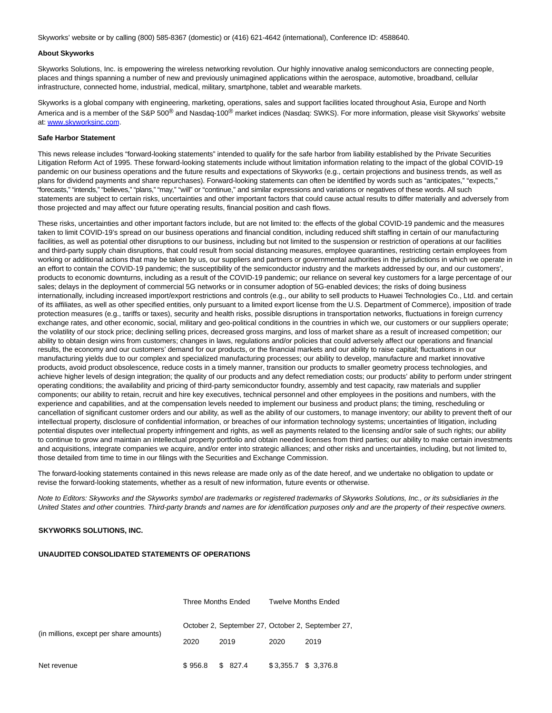Skyworks' website or by calling (800) 585-8367 (domestic) or (416) 621-4642 (international), Conference ID: 4588640.

#### **About Skyworks**

Skyworks Solutions, Inc. is empowering the wireless networking revolution. Our highly innovative analog semiconductors are connecting people, places and things spanning a number of new and previously unimagined applications within the aerospace, automotive, broadband, cellular infrastructure, connected home, industrial, medical, military, smartphone, tablet and wearable markets.

Skyworks is a global company with engineering, marketing, operations, sales and support facilities located throughout Asia, Europe and North America and is a member of the S&P 500<sup>®</sup> and Nasdaq-100<sup>®</sup> market indices (Nasdaq: SWKS). For more information, please visit Skyworks' website at: [www.skyworksinc.com.](https://cts.businesswire.com/ct/CT?id=smartlink&url=http%3A%2F%2Fwww.skyworksinc.com&esheet=52318824&newsitemid=20201102005949&lan=en-US&anchor=www.skyworksinc.com&index=1&md5=cf2bd1ab520b452956634309926eebb8)

#### **Safe Harbor Statement**

This news release includes "forward-looking statements" intended to qualify for the safe harbor from liability established by the Private Securities Litigation Reform Act of 1995. These forward-looking statements include without limitation information relating to the impact of the global COVID-19 pandemic on our business operations and the future results and expectations of Skyworks (e.g., certain projections and business trends, as well as plans for dividend payments and share repurchases). Forward-looking statements can often be identified by words such as "anticipates," "expects," "forecasts," "intends," "believes," "plans," "may," "will" or "continue," and similar expressions and variations or negatives of these words. All such statements are subject to certain risks, uncertainties and other important factors that could cause actual results to differ materially and adversely from those projected and may affect our future operating results, financial position and cash flows.

These risks, uncertainties and other important factors include, but are not limited to: the effects of the global COVID-19 pandemic and the measures taken to limit COVID-19's spread on our business operations and financial condition, including reduced shift staffing in certain of our manufacturing facilities, as well as potential other disruptions to our business, including but not limited to the suspension or restriction of operations at our facilities and third-party supply chain disruptions, that could result from social distancing measures, employee quarantines, restricting certain employees from working or additional actions that may be taken by us, our suppliers and partners or governmental authorities in the jurisdictions in which we operate in an effort to contain the COVID-19 pandemic; the susceptibility of the semiconductor industry and the markets addressed by our, and our customers', products to economic downturns, including as a result of the COVID-19 pandemic; our reliance on several key customers for a large percentage of our sales; delays in the deployment of commercial 5G networks or in consumer adoption of 5G-enabled devices; the risks of doing business internationally, including increased import/export restrictions and controls (e.g., our ability to sell products to Huawei Technologies Co., Ltd. and certain of its affiliates, as well as other specified entities, only pursuant to a limited export license from the U.S. Department of Commerce), imposition of trade protection measures (e.g., tariffs or taxes), security and health risks, possible disruptions in transportation networks, fluctuations in foreign currency exchange rates, and other economic, social, military and geo-political conditions in the countries in which we, our customers or our suppliers operate; the volatility of our stock price; declining selling prices, decreased gross margins, and loss of market share as a result of increased competition; our ability to obtain design wins from customers; changes in laws, regulations and/or policies that could adversely affect our operations and financial results, the economy and our customers' demand for our products, or the financial markets and our ability to raise capital; fluctuations in our manufacturing yields due to our complex and specialized manufacturing processes; our ability to develop, manufacture and market innovative products, avoid product obsolescence, reduce costs in a timely manner, transition our products to smaller geometry process technologies, and achieve higher levels of design integration; the quality of our products and any defect remediation costs; our products' ability to perform under stringent operating conditions; the availability and pricing of third-party semiconductor foundry, assembly and test capacity, raw materials and supplier components; our ability to retain, recruit and hire key executives, technical personnel and other employees in the positions and numbers, with the experience and capabilities, and at the compensation levels needed to implement our business and product plans; the timing, rescheduling or cancellation of significant customer orders and our ability, as well as the ability of our customers, to manage inventory; our ability to prevent theft of our intellectual property, disclosure of confidential information, or breaches of our information technology systems; uncertainties of litigation, including potential disputes over intellectual property infringement and rights, as well as payments related to the licensing and/or sale of such rights; our ability to continue to grow and maintain an intellectual property portfolio and obtain needed licenses from third parties; our ability to make certain investments and acquisitions, integrate companies we acquire, and/or enter into strategic alliances; and other risks and uncertainties, including, but not limited to, those detailed from time to time in our filings with the Securities and Exchange Commission.

The forward-looking statements contained in this news release are made only as of the date hereof, and we undertake no obligation to update or revise the forward-looking statements, whether as a result of new information, future events or otherwise.

Note to Editors: Skyworks and the Skyworks symbol are trademarks or registered trademarks of Skyworks Solutions, Inc., or its subsidiaries in the United States and other countries. Third-party brands and names are for identification purposes only and are the property of their respective owners.

## **SKYWORKS SOLUTIONS, INC.**

#### **UNAUDITED CONSOLIDATED STATEMENTS OF OPERATIONS**

|                                         | Three Months Ended |                                                   | <b>Twelve Months Ended</b> |      |  |
|-----------------------------------------|--------------------|---------------------------------------------------|----------------------------|------|--|
| (in millions, except per share amounts) |                    | October 2, September 27, October 2, September 27, |                            |      |  |
|                                         | 2020               | 2019                                              | 2020                       | 2019 |  |
| Net revenue                             | \$956.8            | 827.4<br>\$                                       | \$3,355.7 \$3,376.8        |      |  |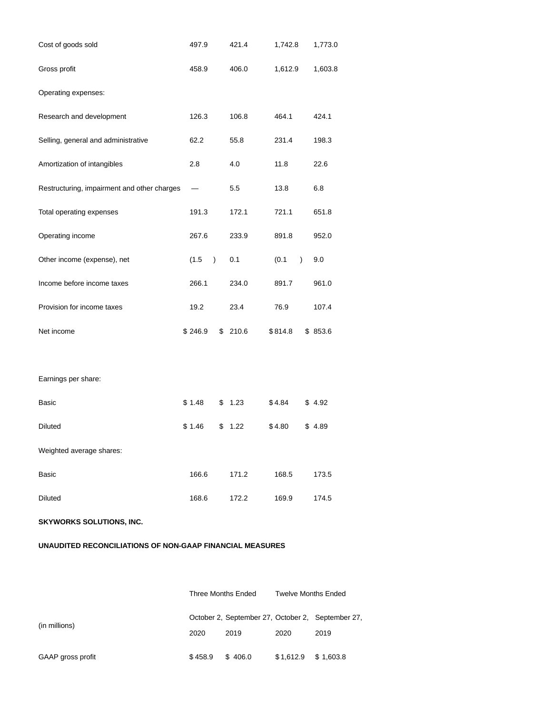| Cost of goods sold                          | 497.9              | 421.4       | 1,742.8            | 1,773.0  |
|---------------------------------------------|--------------------|-------------|--------------------|----------|
| Gross profit                                | 458.9              | 406.0       | 1,612.9            | 1,603.8  |
| Operating expenses:                         |                    |             |                    |          |
| Research and development                    | 126.3              | 106.8       | 464.1              | 424.1    |
| Selling, general and administrative         | 62.2               | 55.8        | 231.4              | 198.3    |
| Amortization of intangibles                 | 2.8                | 4.0         | 11.8               | 22.6     |
| Restructuring, impairment and other charges |                    | 5.5         | 13.8               | 6.8      |
| Total operating expenses                    | 191.3              | 172.1       | 721.1              | 651.8    |
| Operating income                            | 267.6              | 233.9       | 891.8              | 952.0    |
| Other income (expense), net                 | (1.5)<br>$\lambda$ | 0.1         | (0.1)<br>$\lambda$ | 9.0      |
| Income before income taxes                  | 266.1              | 234.0       | 891.7              | 961.0    |
| Provision for income taxes                  | 19.2               | 23.4        | 76.9               | 107.4    |
| Net income                                  | \$246.9            | \$<br>210.6 | \$814.8            | \$ 853.6 |
| Earnings per share:                         |                    |             |                    |          |
| Basic                                       | \$1.48             | \$<br>1.23  | \$4.84             | \$4.92   |
| <b>Diluted</b>                              | \$1.46             | \$<br>1.22  | \$4.80             | \$4.89   |
| Weighted average shares:                    |                    |             |                    |          |
| <b>Basic</b>                                | 166.6              | 171.2       | 168.5              | 173.5    |
| Diluted                                     | 168.6              | 172.2       | 169.9              | 174.5    |

**SKYWORKS SOLUTIONS, INC.**

**UNAUDITED RECONCILIATIONS OF NON-GAAP FINANCIAL MEASURES**

|                   |         | Three Months Ended                                | <b>Twelve Months Ended</b> |           |
|-------------------|---------|---------------------------------------------------|----------------------------|-----------|
| (in millions)     |         | October 2, September 27, October 2, September 27, |                            |           |
|                   | 2020    | 2019                                              | 2020                       | 2019      |
| GAAP gross profit | \$458.9 | \$406.0                                           | \$1.612.9                  | \$1,603.8 |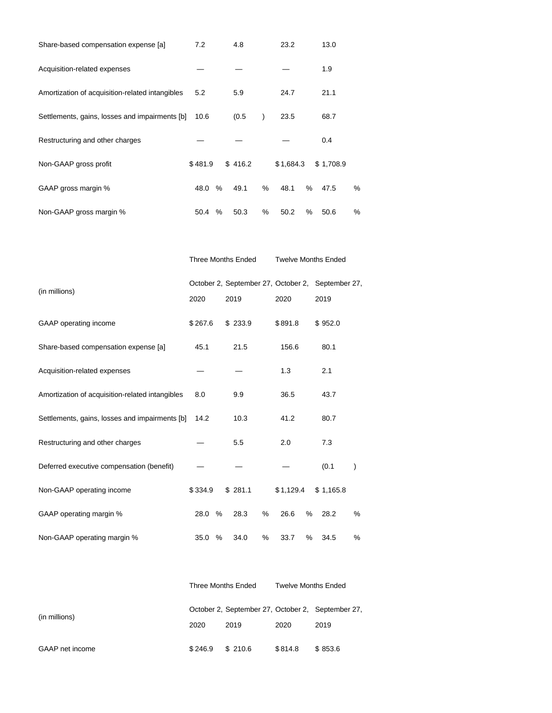| Share-based compensation expense [a]            | 7.2       | 4.8     |      | 23.2      | 13.0      |   |
|-------------------------------------------------|-----------|---------|------|-----------|-----------|---|
| Acquisition-related expenses                    |           |         |      |           | 1.9       |   |
| Amortization of acquisition-related intangibles | 5.2       | 5.9     |      | 24.7      | 21.1      |   |
| Settlements, gains, losses and impairments [b]  | 10.6      | (0.5)   |      | 23.5      | 68.7      |   |
| Restructuring and other charges                 |           |         |      |           | 0.4       |   |
| Non-GAAP gross profit                           | \$481.9   | \$416.2 |      | \$1,684.3 | \$1,708.9 |   |
| GAAP gross margin %                             | 48.0<br>% | 49.1    | %    | 48.1      | %<br>47.5 | % |
| Non-GAAP gross margin %                         | 50.4<br>% | 50.3    | $\%$ | 50.2      | %<br>50.6 | % |

|                                                 | <b>Three Months Ended</b> |  | <b>Twelve Months Ended</b>                        |           |      |           |               |
|-------------------------------------------------|---------------------------|--|---------------------------------------------------|-----------|------|-----------|---------------|
|                                                 |                           |  | October 2, September 27, October 2, September 27, |           |      |           |               |
| (in millions)                                   | 2020                      |  | 2019                                              | 2020      | 2019 |           |               |
| GAAP operating income                           | \$267.6                   |  | \$233.9                                           | \$891.8   |      | \$952.0   |               |
| Share-based compensation expense [a]            | 45.1                      |  | 21.5                                              | 156.6     |      | 80.1      |               |
| Acquisition-related expenses                    |                           |  |                                                   | 1.3       |      | 2.1       |               |
| Amortization of acquisition-related intangibles | 8.0                       |  | 9.9                                               | 36.5      |      | 43.7      |               |
| Settlements, gains, losses and impairments [b]  | 14.2                      |  | 10.3                                              | 41.2      |      | 80.7      |               |
| Restructuring and other charges                 |                           |  | 5.5                                               | 2.0       |      | 7.3       |               |
| Deferred executive compensation (benefit)       |                           |  |                                                   |           |      | (0.1)     | $\mathcal{E}$ |
| Non-GAAP operating income                       | \$334.9                   |  | \$281.1                                           | \$1,129.4 |      | \$1,165.8 |               |
| GAAP operating margin %                         | 28.0 %                    |  | 28.3<br>%                                         | 26.6<br>% |      | 28.2      | $\%$          |
| Non-GAAP operating margin %                     | 35.0 %                    |  | %<br>34.0                                         | 33.7      | %    | 34.5      | %             |

|                 |         | Three Months Ended | <b>Twelve Months Ended</b> |                                                   |
|-----------------|---------|--------------------|----------------------------|---------------------------------------------------|
|                 |         |                    |                            | October 2, September 27, October 2, September 27, |
| (in millions)   | 2020    | 2019               | 2020                       | 2019                                              |
| GAAP net income | \$246.9 | \$210.6            | \$814.8                    | \$853.6                                           |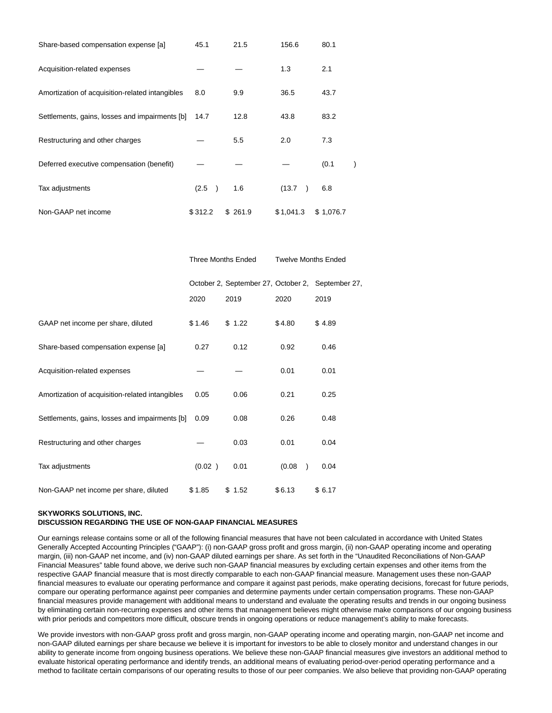| Share-based compensation expense [a]            | 45.1                   | 21.5    | 156.6                   | 80.1      |
|-------------------------------------------------|------------------------|---------|-------------------------|-----------|
| Acquisition-related expenses                    |                        |         | 1.3                     | 2.1       |
| Amortization of acquisition-related intangibles | 8.0                    | 9.9     | 36.5                    | 43.7      |
| Settlements, gains, losses and impairments [b]  | 14.7                   | 12.8    | 43.8                    | 83.2      |
| Restructuring and other charges                 |                        | 5.5     | 2.0                     | 7.3       |
| Deferred executive compensation (benefit)       |                        |         |                         | (0.1)     |
| Tax adjustments                                 | (2.5)<br>$\rightarrow$ | 1.6     | (13.7)<br>$\rightarrow$ | 6.8       |
| Non-GAAP net income                             | \$312.2                | \$261.9 | \$1,041.3               | \$1,076.7 |

|                                                 | <b>Three Months Ended</b> |        | <b>Twelve Months Ended</b> |                                                   |
|-------------------------------------------------|---------------------------|--------|----------------------------|---------------------------------------------------|
|                                                 |                           |        |                            | October 2, September 27, October 2, September 27, |
|                                                 | 2020                      | 2019   | 2020                       | 2019                                              |
| GAAP net income per share, diluted              | \$1.46                    | \$1.22 | \$4.80                     | \$4.89                                            |
| Share-based compensation expense [a]            | 0.27                      | 0.12   | 0.92                       | 0.46                                              |
| Acquisition-related expenses                    |                           |        | 0.01                       | 0.01                                              |
| Amortization of acquisition-related intangibles | 0.05                      | 0.06   | 0.21                       | 0.25                                              |
| Settlements, gains, losses and impairments [b]  | 0.09                      | 0.08   | 0.26                       | 0.48                                              |
| Restructuring and other charges                 |                           | 0.03   | 0.01                       | 0.04                                              |
| Tax adjustments                                 | (0.02)                    | 0.01   | (0.08)<br>$\rightarrow$    | 0.04                                              |
| Non-GAAP net income per share, diluted          | \$1.85                    | \$1.52 | \$6.13                     | \$6.17                                            |

## **SKYWORKS SOLUTIONS, INC. DISCUSSION REGARDING THE USE OF NON-GAAP FINANCIAL MEASURES**

Our earnings release contains some or all of the following financial measures that have not been calculated in accordance with United States Generally Accepted Accounting Principles ("GAAP"): (i) non-GAAP gross profit and gross margin, (ii) non-GAAP operating income and operating margin, (iii) non-GAAP net income, and (iv) non-GAAP diluted earnings per share. As set forth in the "Unaudited Reconciliations of Non-GAAP Financial Measures" table found above, we derive such non-GAAP financial measures by excluding certain expenses and other items from the respective GAAP financial measure that is most directly comparable to each non-GAAP financial measure. Management uses these non-GAAP financial measures to evaluate our operating performance and compare it against past periods, make operating decisions, forecast for future periods, compare our operating performance against peer companies and determine payments under certain compensation programs. These non-GAAP financial measures provide management with additional means to understand and evaluate the operating results and trends in our ongoing business by eliminating certain non-recurring expenses and other items that management believes might otherwise make comparisons of our ongoing business with prior periods and competitors more difficult, obscure trends in ongoing operations or reduce management's ability to make forecasts.

We provide investors with non-GAAP gross profit and gross margin, non-GAAP operating income and operating margin, non-GAAP net income and non-GAAP diluted earnings per share because we believe it is important for investors to be able to closely monitor and understand changes in our ability to generate income from ongoing business operations. We believe these non-GAAP financial measures give investors an additional method to evaluate historical operating performance and identify trends, an additional means of evaluating period-over-period operating performance and a method to facilitate certain comparisons of our operating results to those of our peer companies. We also believe that providing non-GAAP operating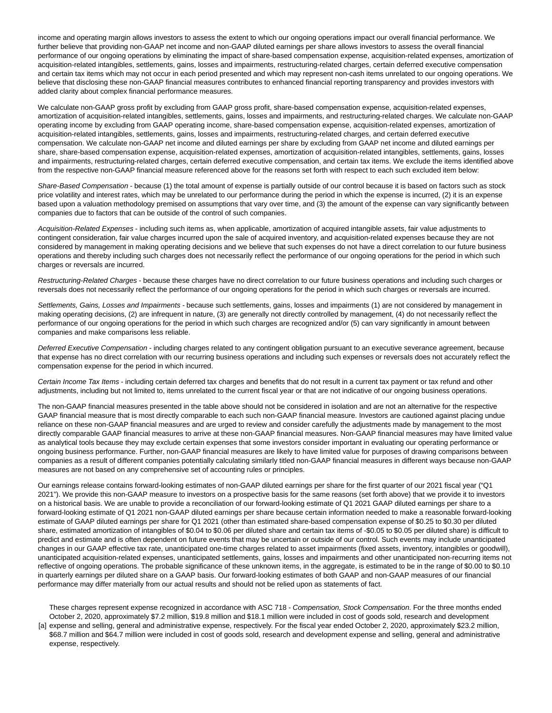income and operating margin allows investors to assess the extent to which our ongoing operations impact our overall financial performance. We further believe that providing non-GAAP net income and non-GAAP diluted earnings per share allows investors to assess the overall financial performance of our ongoing operations by eliminating the impact of share-based compensation expense, acquisition-related expenses, amortization of acquisition-related intangibles, settlements, gains, losses and impairments, restructuring-related charges, certain deferred executive compensation and certain tax items which may not occur in each period presented and which may represent non-cash items unrelated to our ongoing operations. We believe that disclosing these non-GAAP financial measures contributes to enhanced financial reporting transparency and provides investors with added clarity about complex financial performance measures.

We calculate non-GAAP gross profit by excluding from GAAP gross profit, share-based compensation expense, acquisition-related expenses, amortization of acquisition-related intangibles, settlements, gains, losses and impairments, and restructuring-related charges. We calculate non-GAAP operating income by excluding from GAAP operating income, share-based compensation expense, acquisition-related expenses, amortization of acquisition-related intangibles, settlements, gains, losses and impairments, restructuring-related charges, and certain deferred executive compensation. We calculate non-GAAP net income and diluted earnings per share by excluding from GAAP net income and diluted earnings per share, share-based compensation expense, acquisition-related expenses, amortization of acquisition-related intangibles, settlements, gains, losses and impairments, restructuring-related charges, certain deferred executive compensation, and certain tax items. We exclude the items identified above from the respective non-GAAP financial measure referenced above for the reasons set forth with respect to each such excluded item below:

Share-Based Compensation - because (1) the total amount of expense is partially outside of our control because it is based on factors such as stock price volatility and interest rates, which may be unrelated to our performance during the period in which the expense is incurred, (2) it is an expense based upon a valuation methodology premised on assumptions that vary over time, and (3) the amount of the expense can vary significantly between companies due to factors that can be outside of the control of such companies.

Acquisition-Related Expenses - including such items as, when applicable, amortization of acquired intangible assets, fair value adjustments to contingent consideration, fair value charges incurred upon the sale of acquired inventory, and acquisition-related expenses because they are not considered by management in making operating decisions and we believe that such expenses do not have a direct correlation to our future business operations and thereby including such charges does not necessarily reflect the performance of our ongoing operations for the period in which such charges or reversals are incurred.

Restructuring-Related Charges - because these charges have no direct correlation to our future business operations and including such charges or reversals does not necessarily reflect the performance of our ongoing operations for the period in which such charges or reversals are incurred.

Settlements, Gains, Losses and Impairments - because such settlements, gains, losses and impairments (1) are not considered by management in making operating decisions, (2) are infrequent in nature, (3) are generally not directly controlled by management, (4) do not necessarily reflect the performance of our ongoing operations for the period in which such charges are recognized and/or (5) can vary significantly in amount between companies and make comparisons less reliable.

Deferred Executive Compensation - including charges related to any contingent obligation pursuant to an executive severance agreement, because that expense has no direct correlation with our recurring business operations and including such expenses or reversals does not accurately reflect the compensation expense for the period in which incurred.

Certain Income Tax Items - including certain deferred tax charges and benefits that do not result in a current tax payment or tax refund and other adjustments, including but not limited to, items unrelated to the current fiscal year or that are not indicative of our ongoing business operations.

The non-GAAP financial measures presented in the table above should not be considered in isolation and are not an alternative for the respective GAAP financial measure that is most directly comparable to each such non-GAAP financial measure. Investors are cautioned against placing undue reliance on these non-GAAP financial measures and are urged to review and consider carefully the adjustments made by management to the most directly comparable GAAP financial measures to arrive at these non-GAAP financial measures. Non-GAAP financial measures may have limited value as analytical tools because they may exclude certain expenses that some investors consider important in evaluating our operating performance or ongoing business performance. Further, non-GAAP financial measures are likely to have limited value for purposes of drawing comparisons between companies as a result of different companies potentially calculating similarly titled non-GAAP financial measures in different ways because non-GAAP measures are not based on any comprehensive set of accounting rules or principles.

Our earnings release contains forward-looking estimates of non-GAAP diluted earnings per share for the first quarter of our 2021 fiscal year ("Q1 2021"). We provide this non-GAAP measure to investors on a prospective basis for the same reasons (set forth above) that we provide it to investors on a historical basis. We are unable to provide a reconciliation of our forward-looking estimate of Q1 2021 GAAP diluted earnings per share to a forward-looking estimate of Q1 2021 non-GAAP diluted earnings per share because certain information needed to make a reasonable forward-looking estimate of GAAP diluted earnings per share for Q1 2021 (other than estimated share-based compensation expense of \$0.25 to \$0.30 per diluted share, estimated amortization of intangibles of \$0.04 to \$0.06 per diluted share and certain tax items of -\$0.05 to \$0.05 per diluted share) is difficult to predict and estimate and is often dependent on future events that may be uncertain or outside of our control. Such events may include unanticipated changes in our GAAP effective tax rate, unanticipated one-time charges related to asset impairments (fixed assets, inventory, intangibles or goodwill), unanticipated acquisition-related expenses, unanticipated settlements, gains, losses and impairments and other unanticipated non-recurring items not reflective of ongoing operations. The probable significance of these unknown items, in the aggregate, is estimated to be in the range of \$0.00 to \$0.10 in quarterly earnings per diluted share on a GAAP basis. Our forward-looking estimates of both GAAP and non-GAAP measures of our financial performance may differ materially from our actual results and should not be relied upon as statements of fact.

These charges represent expense recognized in accordance with ASC 718 - Compensation, Stock Compensation. For the three months ended October 2, 2020, approximately \$7.2 million, \$19.8 million and \$18.1 million were included in cost of goods sold, research and development

[a] expense and selling, general and administrative expense, respectively. For the fiscal year ended October 2, 2020, approximately \$23.2 million, \$68.7 million and \$64.7 million were included in cost of goods sold, research and development expense and selling, general and administrative expense, respectively.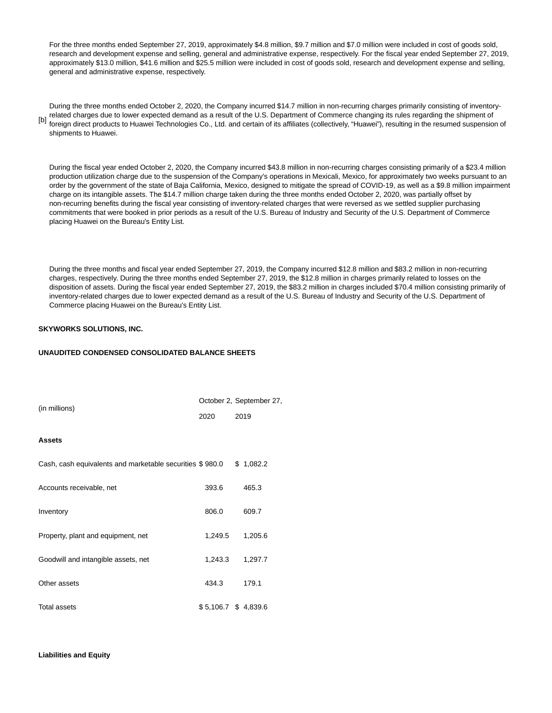For the three months ended September 27, 2019, approximately \$4.8 million, \$9.7 million and \$7.0 million were included in cost of goods sold, research and development expense and selling, general and administrative expense, respectively. For the fiscal year ended September 27, 2019, approximately \$13.0 million, \$41.6 million and \$25.5 million were included in cost of goods sold, research and development expense and selling, general and administrative expense, respectively.

[b] During the three months ended October 2, 2020, the Company incurred \$14.7 million in non-recurring charges primarily consisting of inventoryrelated charges due to lower expected demand as a result of the U.S. Department of Commerce changing its rules regarding the shipment of foreign direct products to Huawei Technologies Co., Ltd. and certain of its affiliates (collectively, "Huawei"), resulting in the resumed suspension of shipments to Huawei.

During the fiscal year ended October 2, 2020, the Company incurred \$43.8 million in non-recurring charges consisting primarily of a \$23.4 million production utilization charge due to the suspension of the Company's operations in Mexicali, Mexico, for approximately two weeks pursuant to an order by the government of the state of Baja California, Mexico, designed to mitigate the spread of COVID-19, as well as a \$9.8 million impairment charge on its intangible assets. The \$14.7 million charge taken during the three months ended October 2, 2020, was partially offset by non-recurring benefits during the fiscal year consisting of inventory-related charges that were reversed as we settled supplier purchasing commitments that were booked in prior periods as a result of the U.S. Bureau of Industry and Security of the U.S. Department of Commerce placing Huawei on the Bureau's Entity List.

During the three months and fiscal year ended September 27, 2019, the Company incurred \$12.8 million and \$83.2 million in non-recurring charges, respectively. During the three months ended September 27, 2019, the \$12.8 million in charges primarily related to losses on the disposition of assets. During the fiscal year ended September 27, 2019, the \$83.2 million in charges included \$70.4 million consisting primarily of inventory-related charges due to lower expected demand as a result of the U.S. Bureau of Industry and Security of the U.S. Department of Commerce placing Huawei on the Bureau's Entity List.

#### **SKYWORKS SOLUTIONS, INC.**

## **UNAUDITED CONDENSED CONSOLIDATED BALANCE SHEETS**

| (in millions)                                            |                     | October 2, September 27, |  |  |
|----------------------------------------------------------|---------------------|--------------------------|--|--|
|                                                          | 2020                | 2019                     |  |  |
| <b>Assets</b>                                            |                     |                          |  |  |
| Cash, cash equivalents and marketable securities \$980.0 |                     | \$1,082.2                |  |  |
| Accounts receivable, net                                 | 393.6               | 465.3                    |  |  |
| Inventory                                                | 806.0               | 609.7                    |  |  |
| Property, plant and equipment, net                       | 1,249.5             | 1,205.6                  |  |  |
| Goodwill and intangible assets, net                      | 1,243.3             | 1,297.7                  |  |  |
| Other assets                                             | 434.3               | 179.1                    |  |  |
| <b>Total assets</b>                                      | \$5,106.7 \$4,839.6 |                          |  |  |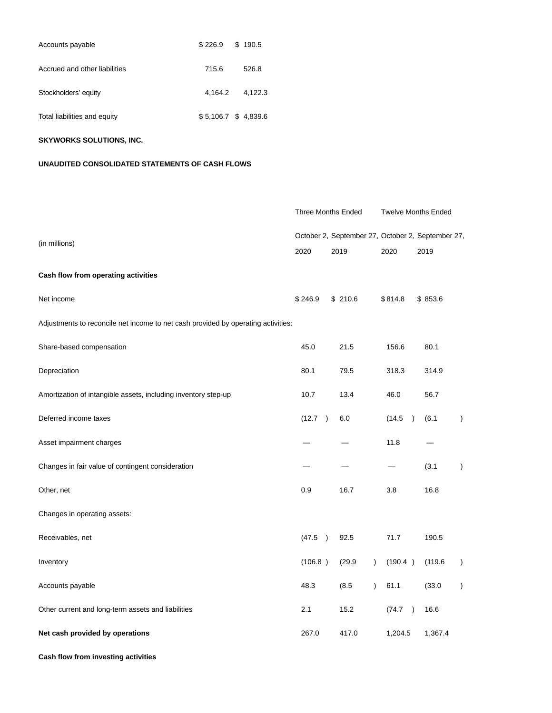| Accounts payable              | \$226.9             | \$190.5 |
|-------------------------------|---------------------|---------|
| Accrued and other liabilities | 715.6               | 526.8   |
| Stockholders' equity          | 4.164.2             | 4.122.3 |
| Total liabilities and equity  | \$5,106.7 \$4,839.6 |         |

## **SKYWORKS SOLUTIONS, INC.**

# **UNAUDITED CONSOLIDATED STATEMENTS OF CASH FLOWS**

|                                                                                   | <b>Three Months Ended</b> |                     | <b>Twelve Months Ended</b> |                                                   |  |
|-----------------------------------------------------------------------------------|---------------------------|---------------------|----------------------------|---------------------------------------------------|--|
| (in millions)                                                                     |                           |                     |                            | October 2, September 27, October 2, September 27, |  |
|                                                                                   | 2020                      | 2019                | 2020                       | 2019                                              |  |
| Cash flow from operating activities                                               |                           |                     |                            |                                                   |  |
| Net income                                                                        | \$246.9                   | \$210.6             | \$814.8                    | \$853.6                                           |  |
| Adjustments to reconcile net income to net cash provided by operating activities: |                           |                     |                            |                                                   |  |
| Share-based compensation                                                          | 45.0                      | 21.5                | 156.6                      | 80.1                                              |  |
| Depreciation                                                                      | 80.1                      | 79.5                | 318.3                      | 314.9                                             |  |
| Amortization of intangible assets, including inventory step-up                    | 10.7                      | 13.4                | 46.0                       | 56.7                                              |  |
| Deferred income taxes                                                             | (12.7)                    | 6.0                 | (14.5)<br>$\lambda$        | (6.1)<br>$\lambda$                                |  |
| Asset impairment charges                                                          |                           |                     | 11.8                       |                                                   |  |
| Changes in fair value of contingent consideration                                 |                           |                     |                            | (3.1)<br>$\lambda$                                |  |
| Other, net                                                                        | 0.9                       | 16.7                | 3.8                        | 16.8                                              |  |
| Changes in operating assets:                                                      |                           |                     |                            |                                                   |  |
| Receivables, net                                                                  | (47.5)                    | 92.5                | 71.7                       | 190.5                                             |  |
| Inventory                                                                         | (106.8)                   | (29.9)<br>$\lambda$ | (190.4)                    | (119.6)<br>$\lambda$                              |  |
| Accounts payable                                                                  | 48.3                      | (8.5)<br>$\lambda$  | 61.1                       | (33.0)<br>$\lambda$                               |  |
| Other current and long-term assets and liabilities                                | 2.1                       | 15.2                | (74.7)<br>$\rightarrow$    | 16.6                                              |  |
| Net cash provided by operations                                                   | 267.0                     | 417.0               | 1,204.5                    | 1,367.4                                           |  |

**Cash flow from investing activities**